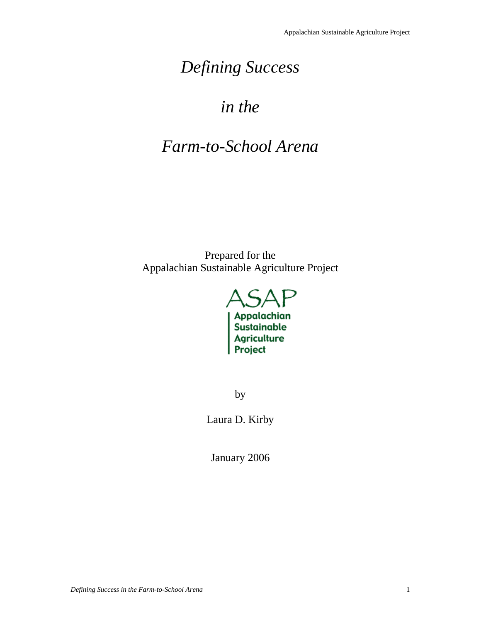# *Defining Success*

## *in the*

## *Farm-to-School Arena*

Prepared for the Appalachian Sustainable Agriculture Project



by

Laura D. Kirby

January 2006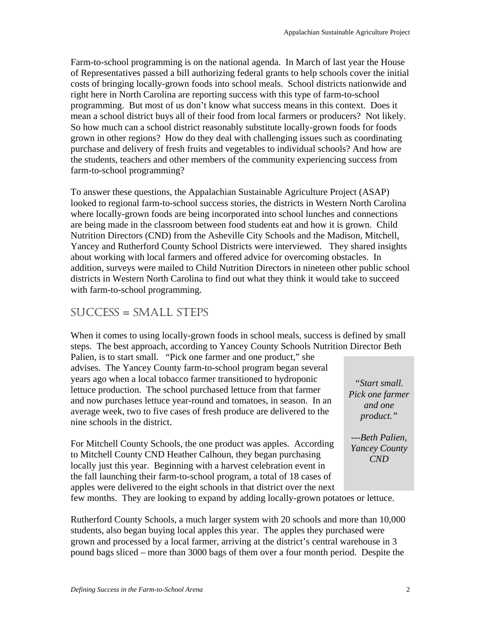Farm-to-school programming is on the national agenda. In March of last year the House of Representatives passed a bill authorizing federal grants to help schools cover the initial costs of bringing locally-grown foods into school meals. School districts nationwide and right here in North Carolina are reporting success with this type of farm-to-school programming. But most of us don't know what success means in this context. Does it mean a school district buys all of their food from local farmers or producers? Not likely. So how much can a school district reasonably substitute locally-grown foods for foods grown in other regions? How do they deal with challenging issues such as coordinating purchase and delivery of fresh fruits and vegetables to individual schools? And how are the students, teachers and other members of the community experiencing success from farm-to-school programming?

To answer these questions, the Appalachian Sustainable Agriculture Project (ASAP) looked to regional farm-to-school success stories, the districts in Western North Carolina where locally-grown foods are being incorporated into school lunches and connections are being made in the classroom between food students eat and how it is grown. Child Nutrition Directors (CND) from the Asheville City Schools and the Madison, Mitchell, Yancey and Rutherford County School Districts were interviewed. They shared insights about working with local farmers and offered advice for overcoming obstacles. In addition, surveys were mailed to Child Nutrition Directors in nineteen other public school districts in Western North Carolina to find out what they think it would take to succeed with farm-to-school programming.

### SUCCESS = SMALL STEPS

When it comes to using locally-grown foods in school meals, success is defined by small steps. The best approach, according to Yancey County Schools Nutrition Director Beth

Palien, is to start small. "Pick one farmer and one product," she advises. The Yancey County farm-to-school program began several years ago when a local tobacco farmer transitioned to hydroponic lettuce production. The school purchased lettuce from that farmer and now purchases lettuce year-round and tomatoes, in season. In an average week, two to five cases of fresh produce are delivered to the nine schools in the district.

For Mitchell County Schools, the one product was apples. According to Mitchell County CND Heather Calhoun, they began purchasing locally just this year. Beginning with a harvest celebration event in the fall launching their farm-to-school program, a total of 18 cases of apples were delivered to the eight schools in that district over the next

*"Start small. Pick one farmer and one product."* 

*---Beth Palien, Yancey County CND* 

few months. They are looking to expand by adding locally-grown potatoes or lettuce.

Rutherford County Schools, a much larger system with 20 schools and more than 10,000 students, also began buying local apples this year. The apples they purchased were grown and processed by a local farmer, arriving at the district's central warehouse in 3 pound bags sliced – more than 3000 bags of them over a four month period. Despite the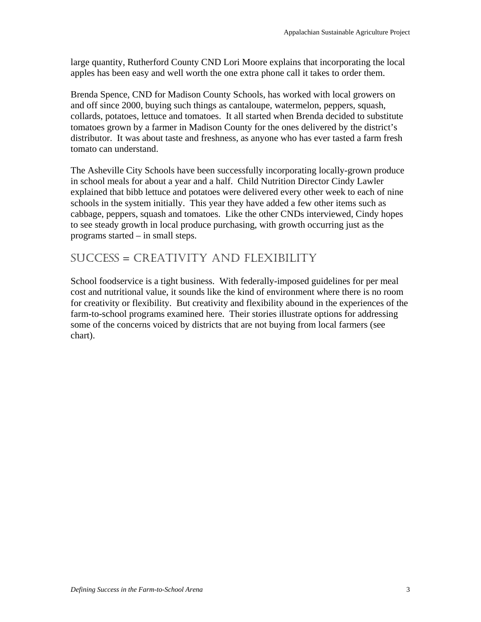large quantity, Rutherford County CND Lori Moore explains that incorporating the local apples has been easy and well worth the one extra phone call it takes to order them.

Brenda Spence, CND for Madison County Schools, has worked with local growers on and off since 2000, buying such things as cantaloupe, watermelon, peppers, squash, collards, potatoes, lettuce and tomatoes. It all started when Brenda decided to substitute tomatoes grown by a farmer in Madison County for the ones delivered by the district's distributor. It was about taste and freshness, as anyone who has ever tasted a farm fresh tomato can understand.

The Asheville City Schools have been successfully incorporating locally-grown produce in school meals for about a year and a half. Child Nutrition Director Cindy Lawler explained that bibb lettuce and potatoes were delivered every other week to each of nine schools in the system initially. This year they have added a few other items such as cabbage, peppers, squash and tomatoes. Like the other CNDs interviewed, Cindy hopes to see steady growth in local produce purchasing, with growth occurring just as the programs started – in small steps.

### SUCCESS = CREATIVITY AND FLEXIBILITY

School foodservice is a tight business. With federally-imposed guidelines for per meal cost and nutritional value, it sounds like the kind of environment where there is no room for creativity or flexibility. But creativity and flexibility abound in the experiences of the farm-to-school programs examined here. Their stories illustrate options for addressing some of the concerns voiced by districts that are not buying from local farmers (see chart).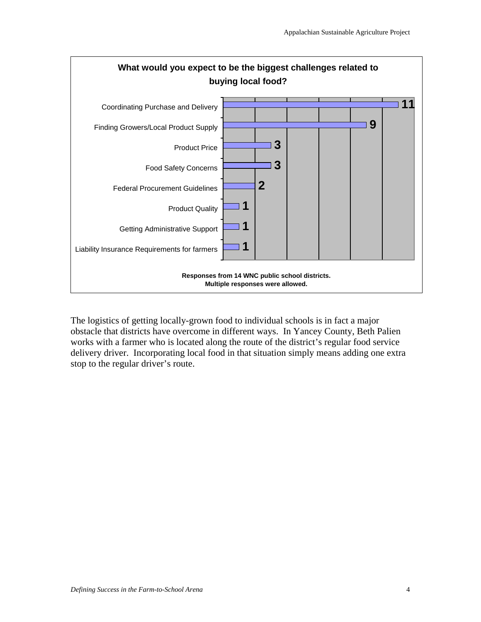

The logistics of getting locally-grown food to individual schools is in fact a major obstacle that districts have overcome in different ways. In Yancey County, Beth Palien works with a farmer who is located along the route of the district's regular food service delivery driver. Incorporating local food in that situation simply means adding one extra stop to the regular driver's route.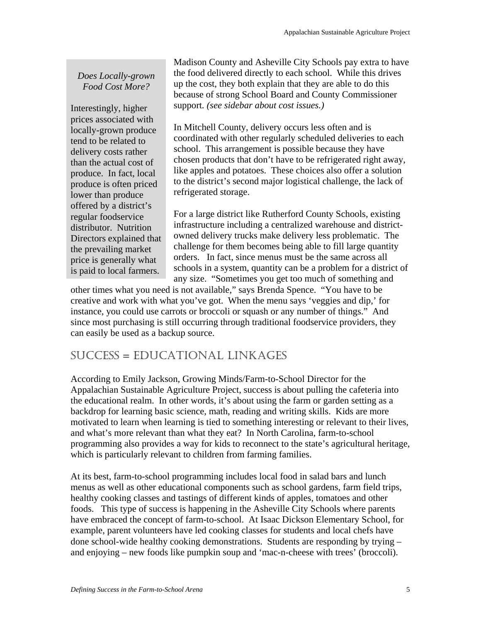### *Does Locally-grown Food Cost More?*

Interestingly, higher prices associated with locally-grown produce tend to be related to delivery costs rather than the actual cost of produce. In fact, local produce is often priced lower than produce offered by a district's regular foodservice distributor. Nutrition Directors explained that the prevailing market price is generally what is paid to local farmers.

Madison County and Asheville City Schools pay extra to have the food delivered directly to each school. While this drives up the cost, they both explain that they are able to do this because of strong School Board and County Commissioner support*. (see sidebar about cost issues.)* 

In Mitchell County, delivery occurs less often and is coordinated with other regularly scheduled deliveries to each school. This arrangement is possible because they have chosen products that don't have to be refrigerated right away, like apples and potatoes. These choices also offer a solution to the district's second major logistical challenge, the lack of refrigerated storage.

For a large district like Rutherford County Schools, existing infrastructure including a centralized warehouse and districtowned delivery trucks make delivery less problematic. The challenge for them becomes being able to fill large quantity orders. In fact, since menus must be the same across all schools in a system, quantity can be a problem for a district of any size. "Sometimes you get too much of something and

other times what you need is not available," says Brenda Spence. "You have to be creative and work with what you've got. When the menu says 'veggies and dip,' for instance, you could use carrots or broccoli or squash or any number of things." And since most purchasing is still occurring through traditional foodservice providers, they can easily be used as a backup source.

## SUCCESS = EDUCATIONAL LINKAGES

According to Emily Jackson, Growing Minds/Farm-to-School Director for the Appalachian Sustainable Agriculture Project, success is about pulling the cafeteria into the educational realm. In other words, it's about using the farm or garden setting as a backdrop for learning basic science, math, reading and writing skills. Kids are more motivated to learn when learning is tied to something interesting or relevant to their lives, and what's more relevant than what they eat? In North Carolina, farm-to-school programming also provides a way for kids to reconnect to the state's agricultural heritage, which is particularly relevant to children from farming families.

At its best, farm-to-school programming includes local food in salad bars and lunch menus as well as other educational components such as school gardens, farm field trips, healthy cooking classes and tastings of different kinds of apples, tomatoes and other foods. This type of success is happening in the Asheville City Schools where parents have embraced the concept of farm-to-school. At Isaac Dickson Elementary School, for example, parent volunteers have led cooking classes for students and local chefs have done school-wide healthy cooking demonstrations. Students are responding by trying – and enjoying – new foods like pumpkin soup and 'mac-n-cheese with trees' (broccoli).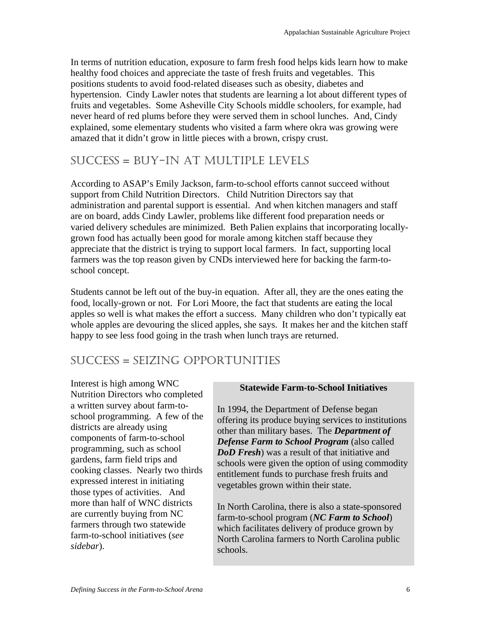In terms of nutrition education, exposure to farm fresh food helps kids learn how to make healthy food choices and appreciate the taste of fresh fruits and vegetables. This positions students to avoid food-related diseases such as obesity, diabetes and hypertension. Cindy Lawler notes that students are learning a lot about different types of fruits and vegetables. Some Asheville City Schools middle schoolers, for example, had never heard of red plums before they were served them in school lunches. And, Cindy explained, some elementary students who visited a farm where okra was growing were amazed that it didn't grow in little pieces with a brown, crispy crust.

## SUCCESS = BUY-IN AT MULTIPLE LEVELS

According to ASAP's Emily Jackson, farm-to-school efforts cannot succeed without support from Child Nutrition Directors. Child Nutrition Directors say that administration and parental support is essential. And when kitchen managers and staff are on board, adds Cindy Lawler, problems like different food preparation needs or varied delivery schedules are minimized. Beth Palien explains that incorporating locallygrown food has actually been good for morale among kitchen staff because they appreciate that the district is trying to support local farmers. In fact, supporting local farmers was the top reason given by CNDs interviewed here for backing the farm-toschool concept.

Students cannot be left out of the buy-in equation. After all, they are the ones eating the food, locally-grown or not. For Lori Moore, the fact that students are eating the local apples so well is what makes the effort a success. Many children who don't typically eat whole apples are devouring the sliced apples, she says. It makes her and the kitchen staff happy to see less food going in the trash when lunch trays are returned.

## SUCCESS = SEIZING OPPORTUNITIES

Interest is high among WNC Nutrition Directors who completed a written survey about farm-toschool programming. A few of the districts are already using components of farm-to-school programming, such as school gardens, farm field trips and cooking classes. Nearly two thirds expressed interest in initiating those types of activities. And more than half of WNC districts are currently buying from NC farmers through two statewide farm-to-school initiatives (*see sidebar*).

#### **Statewide Farm-to-School Initiatives**

In 1994, the Department of Defense began offering its produce buying services to institutions other than military bases. The *Department of Defense Farm to School Program* (also called *DoD Fresh*) was a result of that initiative and schools were given the option of using commodity entitlement funds to purchase fresh fruits and vegetables grown within their state.

In North Carolina, there is also a state-sponsored farm-to-school program (*NC Farm to School*) which facilitates delivery of produce grown by North Carolina farmers to North Carolina public schools.